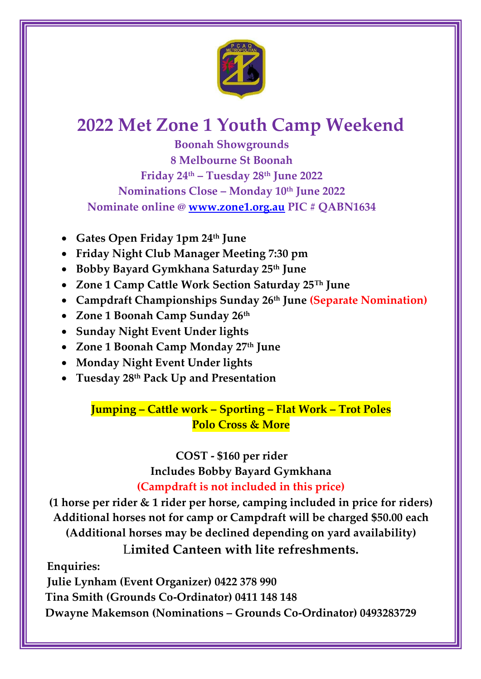

# **2022 Met Zone 1 Youth Camp Weekend**

**Boonah Showgrounds 8 Melbourne St Boonah Friday 24th – Tuesday 28th June 2022 Nominations Close – Monday 10th June 2022 Nominate online @ [www.zone1.org.au](http://www.zone1.org.au/) PIC # QABN1634** 

- **Gates Open Friday 1pm 24th June**
- **Friday Night Club Manager Meeting 7:30 pm**
- **Bobby Bayard Gymkhana Saturday 25th June**
- **Zone 1 Camp Cattle Work Section Saturday 25Th June**
- **Campdraft Championships Sunday 26th June (Separate Nomination)**
- **Zone 1 Boonah Camp Sunday 26th**
- **Sunday Night Event Under lights**
- **Zone 1 Boonah Camp Monday 27th June**
- **Monday Night Event Under lights**
- **Tuesday 28th Pack Up and Presentation**

**Jumping – Cattle work – Sporting – Flat Work – Trot Poles Polo Cross & More** 

> **COST - \$160 per rider Includes Bobby Bayard Gymkhana (Campdraft is not included in this price)**

**(1 horse per rider & 1 rider per horse, camping included in price for riders) Additional horses not for camp or Campdraft will be charged \$50.00 each (Additional horses may be declined depending on yard availability)**  L**imited Canteen with lite refreshments.** 

**Enquiries:** 

**Julie Lynham (Event Organizer) 0422 378 990** 

 **Tina Smith (Grounds Co-Ordinator) 0411 148 148** 

 **Dwayne Makemson (Nominations – Grounds Co-Ordinator) 0493283729**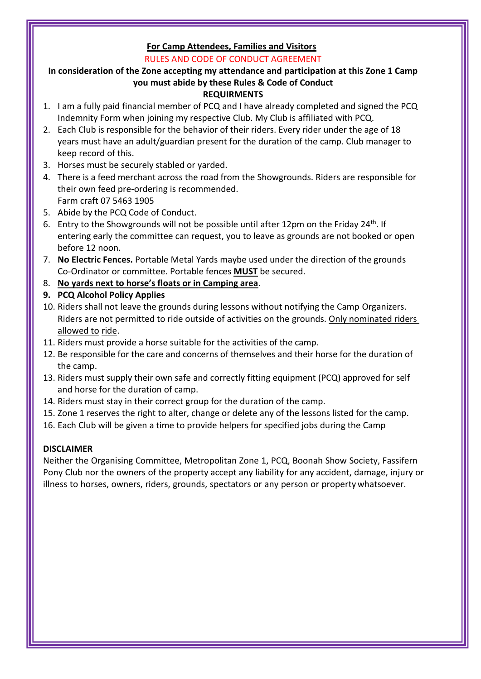#### **For Camp Attendees, Families and Visitors**  RULES AND CODE OF CONDUCT AGREEMENT

## **In consideration of the Zone accepting my attendance and participation at this Zone 1 Camp you must abide by these Rules & Code of Conduct**

## **REQUIRMENTS**

- 1. I am a fully paid financial member of PCQ and I have already completed and signed the PCQ Indemnity Form when joining my respective Club. My Club is affiliated with PCQ.
- 2. Each Club is responsible for the behavior of their riders. Every rider under the age of 18 years must have an adult/guardian present for the duration of the camp. Club manager to keep record of this.
- 3. Horses must be securely stabled or yarded.
- 4. There is a feed merchant across the road from the Showgrounds. Riders are responsible for their own feed pre-ordering is recommended. Farm craft 07 5463 1905
- 5. Abide by the PCQ Code of Conduct.
- 6. Entry to the Showgrounds will not be possible until after 12pm on the Friday 24<sup>th</sup>. If entering early the committee can request, you to leave as grounds are not booked or open before 12 noon.
- 7. **No Electric Fences.** Portable Metal Yards maybe used under the direction of the grounds Co-Ordinator or committee. Portable fences **MUST** be secured.
- 8. **No yards next to horse's floats or in Camping area**.
- **9. PCQ Alcohol Policy Applies**
- 10. Riders shall not leave the grounds during lessons without notifying the Camp Organizers. Riders are not permitted to ride outside of activities on the grounds. Only nominated riders allowed to ride.
- 11. Riders must provide a horse suitable for the activities of the camp.
- 12. Be responsible for the care and concerns of themselves and their horse for the duration of the camp.
- 13. Riders must supply their own safe and correctly fitting equipment (PCQ) approved for self and horse for the duration of camp.
- 14. Riders must stay in their correct group for the duration of the camp.
- 15. Zone 1 reserves the right to alter, change or delete any of the lessons listed for the camp.
- 16. Each Club will be given a time to provide helpers for specified jobs during the Camp

## **DISCLAIMER**

Neither the Organising Committee, Metropolitan Zone 1, PCQ, Boonah Show Society, Fassifern Pony Club nor the owners of the property accept any liability for any accident, damage, injury or illness to horses, owners, riders, grounds, spectators or any person or property whatsoever.